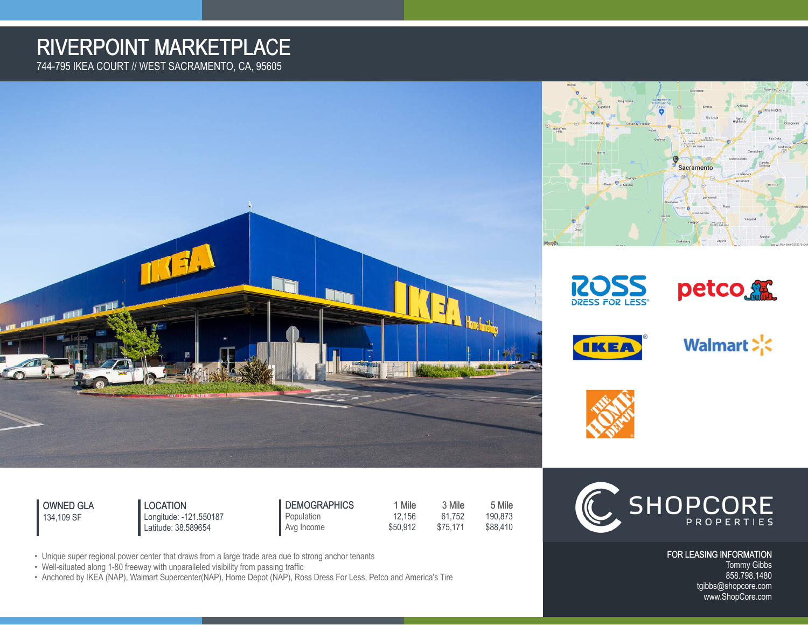## RIVERPOINT MARKETPLACE 744-795 IKEA COURT // WEST SACRAMENTO, CA, 95605



OWNED GLA 134,109 SF

LOCATION Longitude: -121.550187 Latitude: 38.589654

• Well-situated along 1-80 freeway with unparalleled visibility from passing traffic

• Unique super regional power center that draws from a large trade area due to strong anchor tenants

• Anchored by IKEA (NAP), Walmart Supercenter(NAP), Home Depot (NAP), Ross Dress For Less, Petco and America's Tire

Avg Income

**DEMOGRAPHICS** 1 Mile 3 Mile 5 Mile<br>Population 12.156 61.752 190.873 Population 12,156 61,752 190,873<br>Avg Income \$50,912 \$75,171 \$88,410

**SHOPCORE**  $\sqrt{2}$ 

> FOR LEASING INFORMATION Tommy Gibbs 858.798.1480 [tgibbs@shopcore.com](mailto:tgibbs@shopcore.com?Subject=RIVERPOINT%20MARKETPLACE) www.ShopCore.com



**ROSS** 







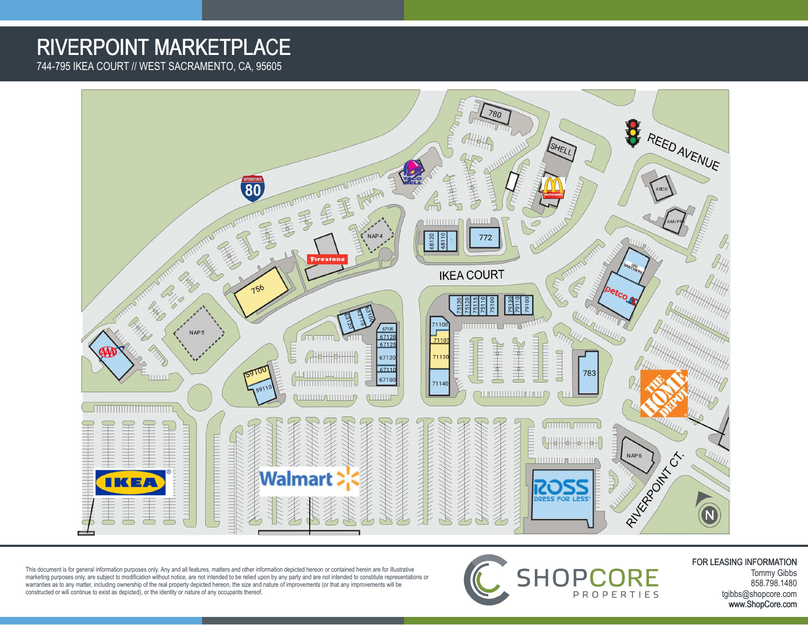## RIVERPOINT MARKETPLACE

744-795 IKEA COURT // WEST SACRAMENTO, CA, 95605



This document is for general information purposes only. Any and all features, matters and other information depicted hereon or contained herein are for illustrative marketing purposes only, are subject to modification without notice, are not intended to be relied upon by any party and are not intended to constitute representations or warranties as to any matter, including ownership of the real property depicted hereon, the size and nature of improvements (or that any improvements will be constructed or will continue to exist as depicted), or the identity or nature of any occupants thereof.



FOR LEASING INFORMATION Tommy Gibbs 858.798.1480 [tgibbs@shopcore.com](mailto:tgibbs@shopcore.com?Subject=RIVERPOINT%20MARKETPLACE) www.ShopCore.com